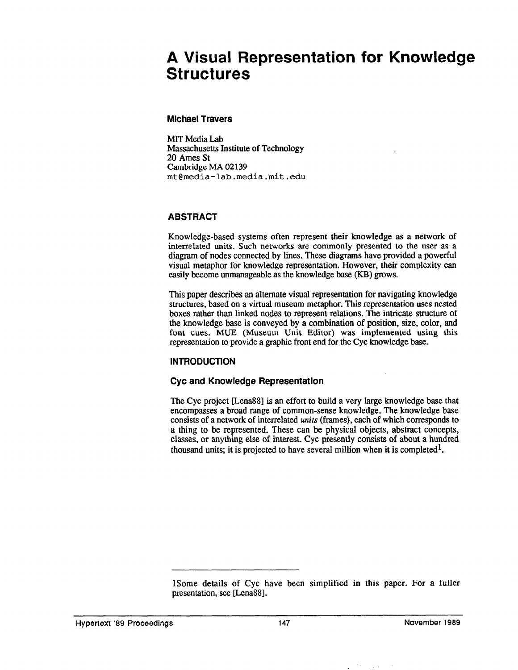# A Visual Representation for Knowledge **Structures**

## Michael Travers

MIT Media Lab Massachusetts Institute of Technology 20 Ames St Cambridge MA 02139 mt@media-lab.media:mit.edu

# ABSTRACT

Knowledge-based systems often represent their knowledge as a network of interrelated units. Such networks are commonly presented to the user as a diagram of nodes connected by lines. These diagrams have provided a powerful visual metaphor for knowledge representation. However, their complexity can easily become unmanageable as the knowledge base (KB) grows.

This paper describes an alternate visual representation for navigating knowledge structures, based on a virtual museum metaphor. This representation uses nested boxes rather than linked nodes to represent relations. The intricate structure of the knowledge base is conveyed by a combination of position, size, color, and font cues, MUE (Museum Unit Editor) was implemented using this representation to provide a graphic front end for the Cyc knowledge base.

# INTRODUCTION

## Cyc and Knowledge Representation

The Cyc project [Lena88] is an effort to build a very large knowledge base that encompasses a broad range of common-sense knowledge. The knowledge base consists of a network of interrelated units (frames), each of which corresponds to a thing to be represented. These can be physical objects, abstract concepts, classes, or anything else of interest. Cyc presently consists of about a hundred thousand units; it is projected to have several million when it is completed<sup>1</sup>.

State Story

<sup>1</sup>Some details of Cyc have been simplified in this paper. For a fuller presentation, see [Lena88].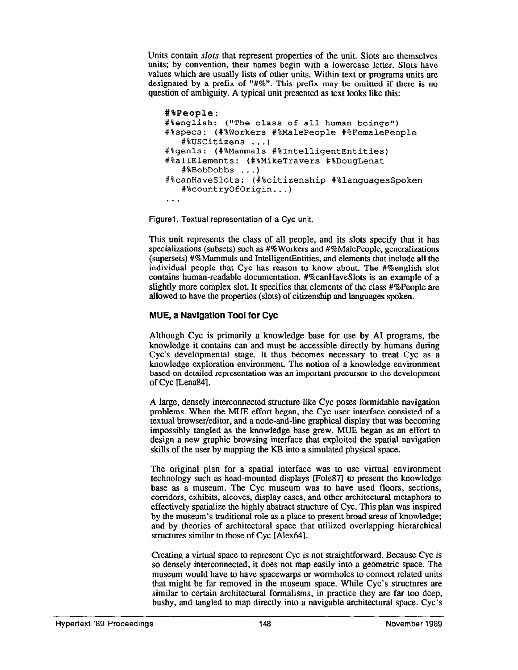Units contain *slots* that represent properties of the unit. Slots are themselves units; by convention, their names begin with a lowercase letter. Slots have values which are usually lists of other units. Within text or programs units are designated by a prefix of "#%". This prefix may be omitted if there is no question of ambiguity. A typical unit presented as text looks like this:

```
#%People: 
#%english: ("The class of all human beings") 
#%specs: (#%Workers #%MalePeople #%FemalePeople 
   #%USCitizens . ..) 
#%genls: (#%Mammals #%IntelligentEntities) 
#%allElements: (#%MikeTravers #%DougLenat 
   #%BobDobbs . ..) 
#%canHaveSlots: (#%citizenship #%languagesSpoken 
   #%countryOfOrigin...) 
\ddotsc
```
Figure1. Textual representation of a Cyc unit.

This unit represents the class of all people, and its slots specify that it has specializations (subsets) such as #%Workers and #%MalePeople, generalizations (supersets) #%Mammals and IntelligentEntities, and elements that include all the individual people that Cyc has reason to know about. The #%english slot contains human-readable documentation. #%canHaveSlots is an example of a slightly more complex slot. It specifies that elements of the class #%People are allowed to have the properties (slots) of citizenship and languages spoken.

## MUE, a Navigation Tool for Cyc

Although Cyc is primarily a knowledge base for use by AI programs, the knowledge it contains can and must be accessible directly by humans during Cyc's developmental stage. It thus becomes necessary to treat Cyc as a knowledge exploration environment. The notion of a knowledge environment based on detailed representation was an important precursor to the development of Cyc Lena841.

A large, densely interconnected structure like Cyc poses formidable navigation problems. When the MUE effort began, the Cyc user interface consisted of a textual browser/editor, and a node-and-line graphical display that was becoming impossibly tangled as the knowledge base grew. MUE began as an effort to design a new graphic browsing interface that exploited the spatial navigation skills of the user by mapping the KB into a simulated physical space.

The original plan for a spatial interface was to use virtual environment technology such as head-mounted displays Eole871 to present the knowledge base as a museum. The Cyc museum was to have used floors, sections, corridors, exhibits, alcoves, display cases, and other architectural metaphors to effectively spatialize the highly abstract structure of Cyc. This plan was inspired by the museum's traditional role as a place to present broad areas of knowledge; and by theories of architectural space that utilized overlapping hierarchical structures similar to those of Cyc [Alex64].

Creating a virtual space to represent Cyc is not straightforward. Because Cyc is so densely interconnected, it does not map easily into a geometric space. The museum would have to have spacewarps or wormholes to connect related units that might be far removed in the museum space. While Cyc's structures are similar to certain architectural formalisms, in practice they are far too deep, bushy, and tangled to map directly into a navigable architectural space. Cyc's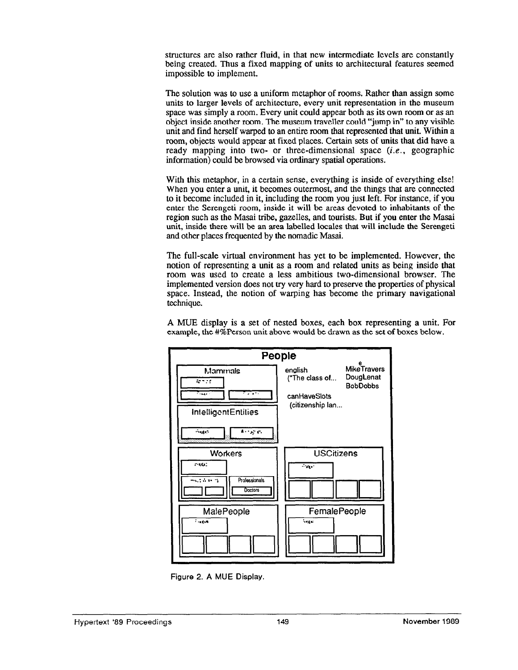structures are also rather fluid, in that new intermediate levels are constantly being created. Thus a fixed mapping of units to architectural features seemed impossible to implement.

The solution was to use a uniform metaphor of rooms, Rather than assign some units to larger levels of architecture, every unit representation in the museum space was simply a room. Every unit could appear both as its own room or as an object inside another room. The museum traveller could "jump in" to any visible unit and find herself warped to an entire room that represented that unit. Within a room, objects would appear at fixed places. Certain sets of units that did have a ready mapping into two- or three-dimensional space  $(i.e.,$  geographic information) could be browsed via ordinary spatial operations.

With this metaphor, in a certain sense, everything is inside of everything else! When you enter a unit, it becomes outermost, and the things that are connected to it become included in it, including the room you just left. For instance, if you enter the Serengeti room, inside it will be areas devoted to inhabitants of the region such as the Masai tribe, gazelles, and tourists. But if you enter the Masai unit, inside there will be an area labelled locales that will include the Serengeti and other places frequented by the nomadic Masai.

The full-scale virtual environment has yet to be implemented. However, the notion of representing a unit as a room and related units as being inside that room was used to create a less ambitious two-dimensional browser. The implemented version does not try very hard to preserve the properties of physical space. Instead, the notion of warping has become the primary navigational technique.

A MUE display is a set of nested boxes, each box representing a unit. For example, the #%Person unit above would be drawn as the set of boxes below.



Figure 2. A MUE Display.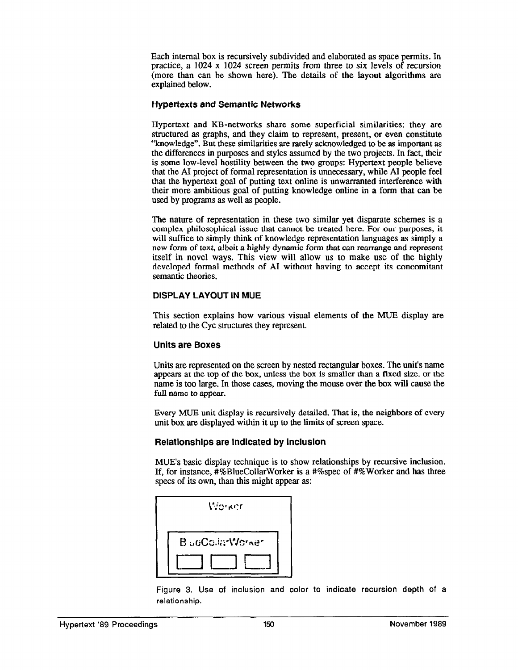Each internal box is recursively subdivided and elaborated as space permits. In practice, a 1024 x 1024 screen permits from three to six levels of recursion (more than can be shown here). The details of the layout algorithms are explained below.

#### Hypertexts and Semantic Networks

Hypertext and KB-networks share some superficial similarities: they are structured as graphs, and they claim to represent, present, or even constitute "knowledge". But these similarities are rarely acknowledged to be as important as the differences in purposes and styles assumed by the two projects. In fact, their is some low-level hostility between the two groups: Hypertext people believe that the AI project of formal representation is unnecessary, while AI people feel that the hypertext goal of putting text online is unwarranted interference with their more ambitious goal of putting knowledge online in a form that can be used by programs as well as people.

The nature of representation in these two similar yet disparate schemes is a complex philosophical issue that cannot be treated here. For our purposes, it will suffice to simply think of knowledge representation languages as simply a new form of text, albeit a highly dynamic form that can rearrange and represent itself in novel ways. This view will allow us to make use of the highly developed formal methods of AI without having to accept its concomitant semantic theories.

#### DISPLAY LAYOUT IN MUE

This section explains how various visual elements of the MUE display are related to the Cyc structures they represent.

## Units are Boxes

Units are represented on the screen by nested rectangular boxes. The unit's name appears at the top of the box, unless the box is smaller than a fixed size. or the name is too large. In those cases, moving the mouse over the box will cause the full name to appear.

Every MUE unit display is recursively detailed. That is, the neighbors of every unit box are displayed within it up to the limits of screen space.

## Relationships are indicated by inclusion

MUE's basic display technique is to show relationships by recursive inclusion. If, for instance, #%BlueCollarWorker is a #%spec of #%Worker and has three specs of its own, than this might appear as:



Figure 3. Use of inclusion and color to indicate recursion depth of a relationship.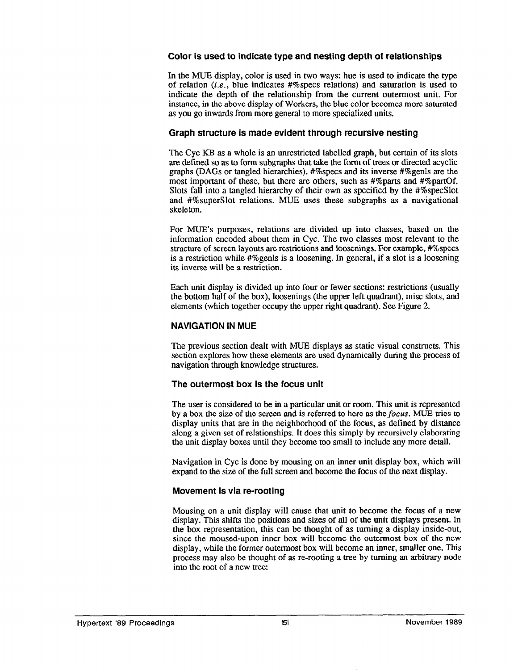## Color is used to indicate type and nesting depth of relationships

In the MUE display, color is used in two ways: hue is used to indicate the type of relation (i.e., blue indicates #%specs relations) and saturation is used to indicate the depth of the relationship from the current outermost unit. For instance, in the above display of Workers, the blue color becomes more saturated as you go inwards from more general to more specialized units.

## Graph structure is made evident through recursive nesting

The Cyc KB as a whole is an unrestricted labelled graph, but certain of its slots are defined so as to form subgraphs that take the form of trees or directed acyclic graphs (DAGs or tangled hierarchies). #%specs and its inverse #%genls are the most important of these, but there are others, such as #%parts and #%partOf. Slots fall into a tangled hierarchy of their own as specified by the #%specSlot and #%superSlot relations. MUE uses these subgraphs as a navigational skeleton.

For MUE's purposes, relations are divided up into classes, based on the information encoded about them in Cyc. The two classes most relevant to the structure of screen layouts are restrictions and loosenings. For example, #%specs is a restriction while #%genls is a loosening. In general, if a slot is a loosening its inverse will be a restriction.

Each unit display is divided up into four or fewer sections: restrictions (usually the bottom half of the box), loosenings (the upper left quadrant), misc slots, and elements (which together occupy the upper right quadrant). See Figure 2.

## NAVIGATION IN MUE

The previous section dealt with MUE displays as static visual constructs. This section explores how these elements are used dynamically during the process of navigation through knowledge structures.

## The outermost box is the focus unit

The user is considered to be in a particular unit or room. This unit is represented by a box the size of the screen and is referred to here as the focus. MUE tries to display units that are in the neighborhood of the focus, as defined by distance along a given set of relationships. It does this simply by recursively elaborating the unit display boxes until they become too small to include any more detail.

Navigation in Cyc is done by mousing on an inner unit display box, which will expand to the size of the full screen and become the focus of the next display.

## Movement is via re-rooting

Mousing on a unit display will cause that unit to become the focus of a new display. This shifts the positions and sizes of all of the unit displays present. In the box representation, this can be thought of as turning a display inside-out, since the moused-upon inner box will become the outermost box of the new display, while the former outermost box will become an inner, smaller one. This process may also be thought of as re-rooting a tree by turning an arbitrary node into the root of a new tree: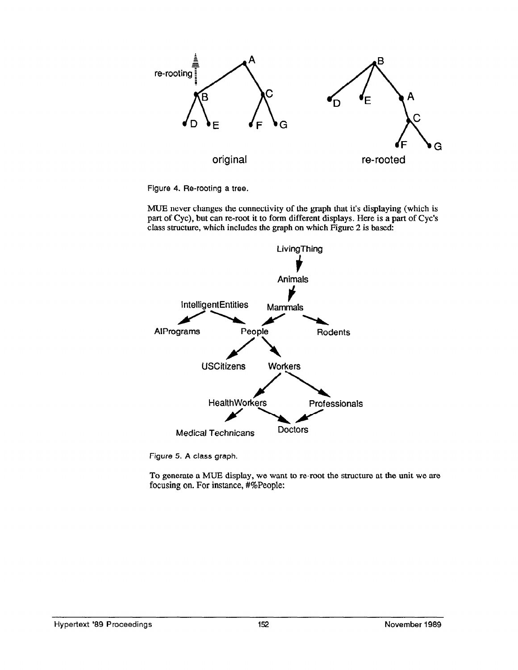

Figure 4. Re-rooting a tree.

MUE never changes the connectivity of the graph that it's displaying (which is part of Cyc), but can re-root it to form different displays. Here is a part of Cyc's class structure, which includes the graph on which Figure 2 is based:



Figure 5. A class graph.

To generate a MUE display, we want to re-root the structure at the unit we are focusing on. For instance, #%People: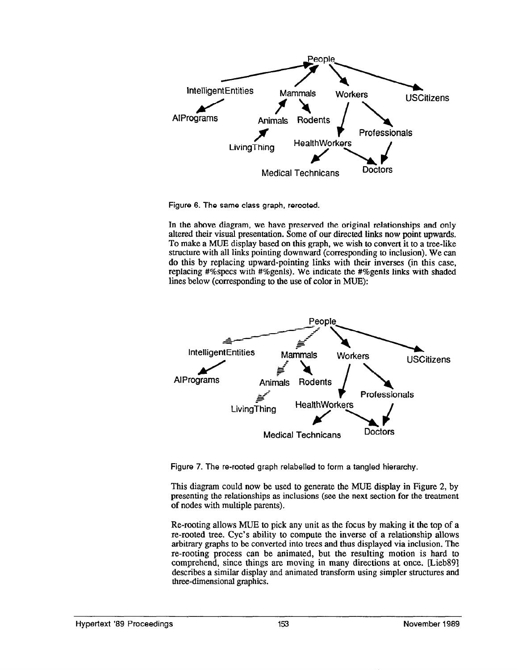

Figure 6. The same class graph, rerooted.

In the above diagram, we have preserved the original relationships and only altered their visual presentation. Some of our directed links now point upwards. To make a MUE display based on this graph, we wish to convert it to a tree-like structure with all links pointing downward (corresponding to inclusion). We can do this by replacing upward-pointing links with their inverses (in this case, replacing #%specs with #%genls). We indicate the #%genls links with shaded lines below (corresponding to the use of color in MUE):



Figure 7. The re-rooted graph relabelled to form a tangled hierarchy.

This diagram could now be used to generate the MUE display in Figure 2, by presenting the relationships as inclusions (see the next section for the treatment of nodes with multiple parents).

Re-rooting allows MUE to pick any unit as the focus by making it the top of a re-rooted tree. Cyc's ability to compute the inverse of a relationship allows arbitrary graphs to be converted into trees and thus displayed via inclusion. The re-rooting process can be animated, but the resulting motion is hard to comprehend, since things are moving in many directions at once. Lieb89] describes a similar display and animated transform using simpler structures and three-dimensional graphics.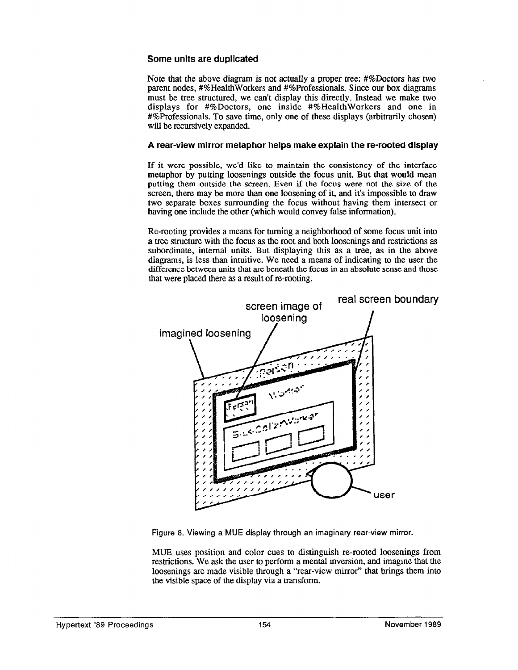#### Some units are duplicated

Note that the above diagram is not actually a proper tree: #%Doctors has two parent nodes, #%HealthWorkers and #%Professionals. Since our box diagrams must be tree structured, we can't display this directly. Instead we make two displays for #%Doctors, one inside #%HealthWorkers and one in #%Professionals. To save time, only one of these displays (arbitrarily chosen) will be recursively expanded.

#### A rear-view mirror metaphor helps make explain the re-rooted display

If it were possible, we'd like to maintain the consistency of the interface metaphor by putting loosenings outside the focus unit. But that would mean putting them outside the screen. Even if the focus were not the size of the screen, there may be more than one loosening of it, and it's impossible to draw two separate boxes surrounding the focus without having them intersect or having one include the other (which would convey false information).

Be-rooting provides a means for turning a neighborhood of some focus unit into a tree structure with the focus as the root and both loosenings and restrictions as subordinate, internal units. But displaying this as a tree, as in the above diagrams, is less than intuitive. We need a means of indicating to the user the difference between units that are beneath the focus in an absolute sense and those that were placed there as a result of re-rooting.



Figure 8. Viewing a MUE display through an imaginary rear-view mirror.

MUE uses position and color cues to distinguish re-rooted loosenings from restrictions. We ask the user to perform a mental inversion, and imagine that the loosenings are made visible through a "rear-view mirror" that brings them into the visible space of the display via a transform.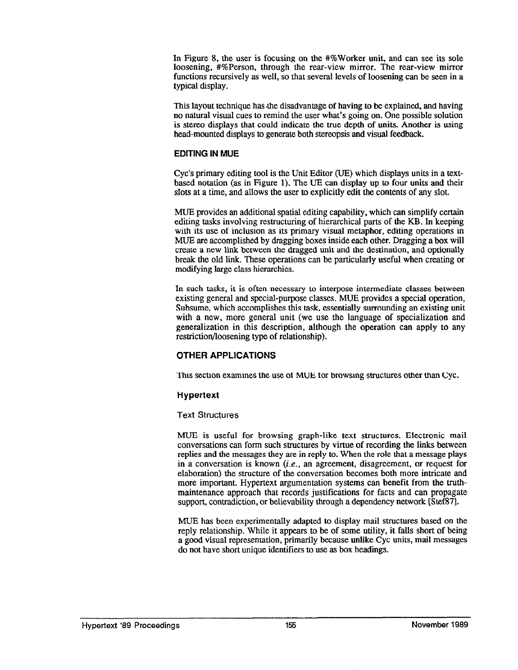In Figure 8, the user is focusing on the  $#$ %Worker unit, and can see its sole loosening, #%Person, through the rear-view mirror. The rear-view mirror functions recursively as well, so that several levels of loosening can be seen in a typical display.

This layout technique has the disadvantage of having to be explained, and having no natural visual cues to remind the user what's going on. One possible solution is stereo displays that could indicate the true depth of units. Another is using head-mounted displays to generate both stereopsis and visual feedback.

## EDITING IN MUE

Cyc's primary editing tool is the Unit Editor (UE) which displays units in a textbased notation (as in Figure 1). The UE can display up to four units and their slots at a time, and allows the user to explicitly edit the contents of any slot.

MUE provides an additional spatial editing capability, which can simplify certain editing tasks involving restructuring of hierarchical parts of the KB. In keeping with its use of inclusion as its primary visual metaphor, editing operations in MUE are accomplished by dragging boxes inside each other. Dragging a box will create a new link between the dragged unit and the destination, and optionally break the old link. These operations can be particularly useful when creating or modifying large class hierarchies.

In such tasks, it is often necessary to interpose intermediate classes between existing general and special-purpose classes. MUE provides a special operation, Subsume, which accomplishes this task, essentially surrounding an existing unit with a new, more general unit (we use the language of specialization and generalization in this description, although the operation can apply to any restriction/loosening type of relationship).

# OTHER APPLICATIONS

This section examines the use of MUE for browsing structures other than Cyc.

## Hypertext

## Text Structures

MUE is useful for browsing graph-like text structures, Electronic mail conversations can form such structures by virtue of recording the links between replies and the messages they are in reply to. When the role that a message plays in a conversation is known (i.e., an agreement, disagreement, or request for elaboration) the structure of the conversation becomes both more intricate and more important. Hypertext argumentation systems can benefit from the truthmaintenance approach that records justifications for facts and can propagate support, contradiction, or believability through a dependency network [Stef87].

MUE has been experimentally adapted to display mail structures based on the reply relationship. While it appears to be of some utility, it falls short of being a good visual representation, primarily because unlike Cyc units, mail messages do not have short unique identifiers to use as box headings.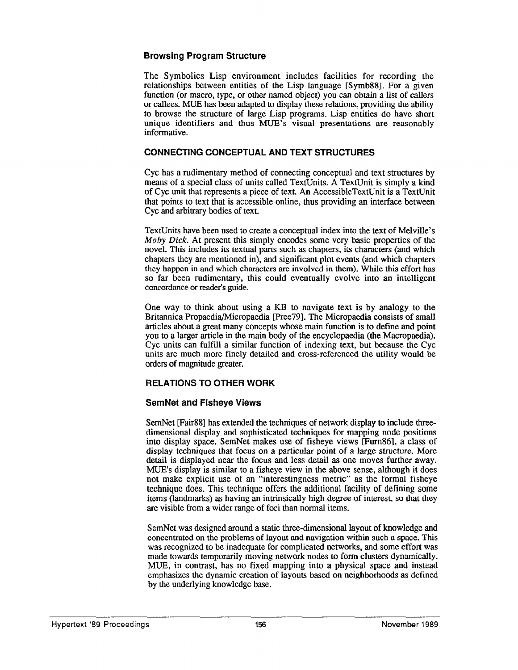# Browsing Program Structure

The Symbolics Lisp environment includes facilities for recording the relationships between entities of the Lisp language [Symb88]. For a given function (or macro, type, or other named object) you can obtain a list of callers or callees. MUE has been adapted to display these relations, providing the ability to browse the structure of large Lisp programs. Lisp entities do have short unique identifiers and thus MUE's visual presentations are reasonably informative.

## CONNECTING CONCEPTUAL AND TEXT STRUCTURES

Cyc has a rudimentary method of connecting conceptual and text structures by means of a special class of units called TextUnits. A TextUnit is simply a kind of Cyc unit that represents a piece of text. An AccessibleTextUnit is a TextUnit that points to text that is accessible online, thus providing an interface between Cyc and arbitrary bodies of text.

TextUnits have been used to create a conceptual index into the text of Melville's Moby Dick. At present this simply encodes some very basic properties of the novel. This includes its textual parts such as chapters, its characters (and which chapters they are mentioned in), and significant plot events (and which chapters they happen in and which characters are involved in them). While this effort has so far been rudimentary, this could eventually evolve into an intelligent concordance or reader's guide.

One way to think about using a KB to navigate text is by analogy to the Britannica Propaedia/Micropaedia [Pree79]. The Micropaedia consists of small articles about a great many concepts whose main function is to define and point you to a larger article in the main body of the encyclopaedia (the Macropaedia). Cyc units can fulfill a similar function of indexing text, but because the Cyc units are much more finely detailed and cross-referenced the utility would be orders of magnitude greater.

# RELATIONS TO OTHER WORK

## SemNet and Fisheye Views

SemNet [Fair 88] has extended the techniques of network display to include threedimensional display and sophisticated techniques for mapping node positions into display space. SemNet makes use of fisheye views [Furn86], a class of display techniques that focus on a particular point of a large struciure. More detail is displayed near the focus and less detail as one moves further away. MUE's display is similar to a fisheye view in the above sense, although it does not make explicit use of an "interestingness metric" as the formal fisheye technique does. This technique offers the additional facility of defining some items (landmarks) as having an intrinsically high degree of interest, so that they are visible from a wider range of foci than normal items.

SemNet was designed around a static three-dimensional layout of knowledge and concentrated on the problems of layout and navigation within such a space. This was recognized to be inadequate for complicated networks, and some effort was made towards temporarily moving network nodes to form clusters dynamically. MUE, in contrast, has no fixed mapping into a physical space and instead emphasizes the dynamic creation of layouts based on neighborhoods as defined by the underlying knowledge base.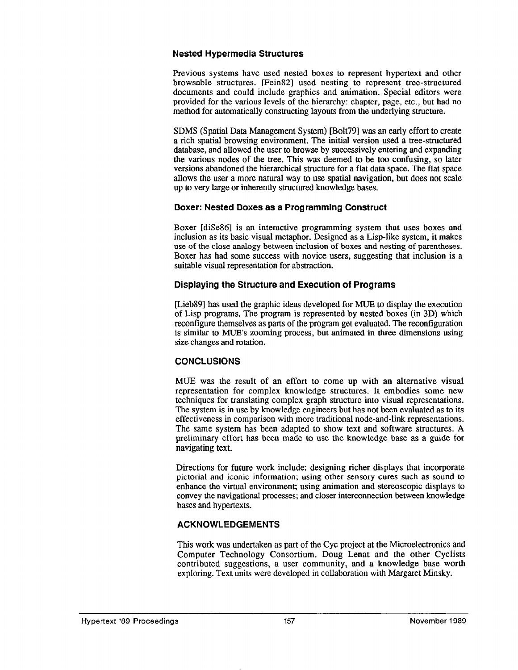## Nested Hypermedia Structures

Previous systems have used nested boxes to represent hypertext and other browsable structures. [Fein82] used nesting to represent tree-structured documents and could include graphics and animation. Special editors were provided for the various levels of the hierarchy: chapter, page, etc., but had no method for automatically constructing layouts from the underlying structure.

SDMS (Spatial Data Management System) [Bolt79] was an early effort to create a rich spatial browsing environment. The initial version used a tree-structured database, and allowed the user to browse by successively entering and expanding the various nodes of the tree. This was deemed to be too confusing, so later versions abandoned the hierarchical structure for a flat data space. The flat space allows the user a more natural way to use spatial navigation, but does not scale up to very large or inherently structured knowledge bases.

## Boxer: Nested Boxes as a Programming Construct

Boxer [diSe86] is an interactive programming system that uses boxes and inclusion as its basic visual metaphor. Designed as a Lisp-like system, it makes use of the close analogy between inclusion of boxes and nesting of parentheses. Boxer has had some success with novice users, suggesting that inclusion is a suitable visual representation for abstraction.

## Displaying the Structure and Execution of Programs

[Lieb89] has used the graphic ideas developed for MUE to display the execution of Lisp programs. The program is represented by nested boxes (in 3D) which reconfigure themselves as parts of the program get evaluated. The reconfiguration is similar to MUF?s zooming process, but animated in three dimensions using size changes and rotation.

# **CONCLUSIONS**

MUE was the result of an effort to come up with an alternative visual representation for complex knowledge structures. It embodies some new techniques for translating complex graph structure into visual representations. The system is in use by knowledge engineers but has not been evaluated as to its effectiveness in comparison with more traditional node-and-link representations. The same system has been adapted to show text and software structures. A preliminary effort has been made to use the knowledge base as a guide for navigating text.

Directions for future work include: designing richer displays that incorporate pictorial and iconic information; using other sensory cures such as sound to enhance the virtual environment; using animation and stereoscopic displays to convey the navigational processes; and closer interconnection between knowledge bases and hypertexts.

# ACKNOWLEDGEMENTS

This work was undertaken as part of the Cyc project at the Microelectronics and Computer Technology Consortium. Doug Lenat and the other Cyclists contributed suggestions, a user community, and a knowledge base worth exploring. Text units were developed in collaboration with Margaret Minsky.